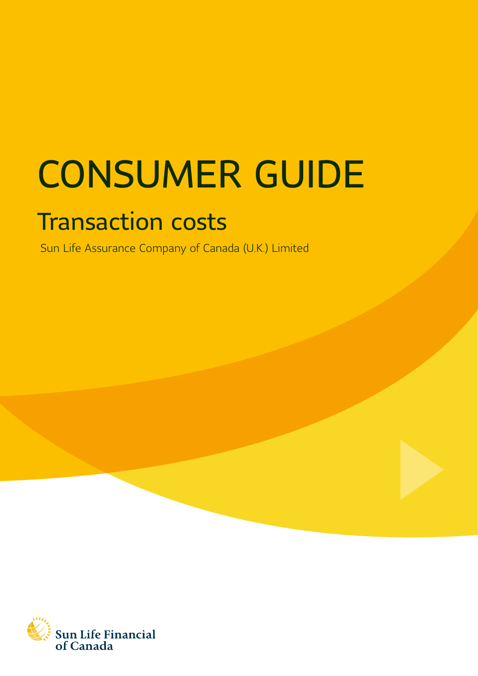# CONSUMER GUIDE

# Transaction costs

Sun Life Assurance Company of Canada (U.K.) Limited

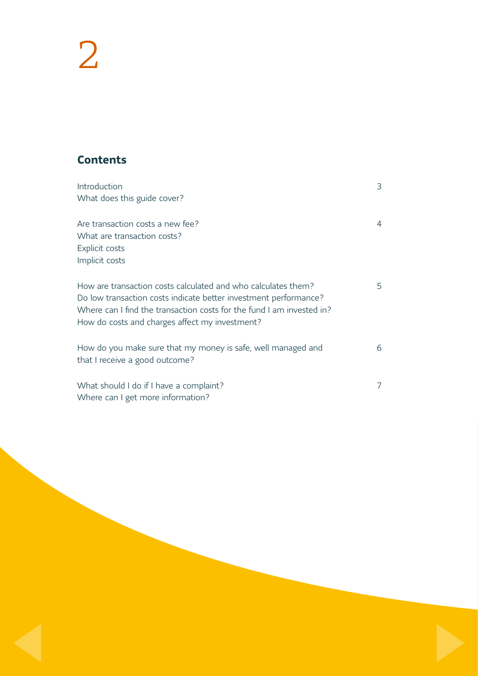# 2

# **Contents**

| Introduction                                                                                                                              | 3              |
|-------------------------------------------------------------------------------------------------------------------------------------------|----------------|
| What does this guide cover?                                                                                                               |                |
| Are transaction costs a new fee?                                                                                                          | $\overline{4}$ |
| What are transaction costs?                                                                                                               |                |
| Explicit costs                                                                                                                            |                |
| Implicit costs                                                                                                                            |                |
|                                                                                                                                           |                |
| How are transaction costs calculated and who calculates them?                                                                             | 5              |
| Do low transaction costs indicate better investment performance?<br>Where can I find the transaction costs for the fund I am invested in? |                |
| How do costs and charges affect my investment?                                                                                            |                |
|                                                                                                                                           |                |
| How do you make sure that my money is safe, well managed and                                                                              | 6              |
| that I receive a good outcome?                                                                                                            |                |
|                                                                                                                                           |                |
| What should I do if I have a complaint?                                                                                                   | 7              |
| Where can I get more information?                                                                                                         |                |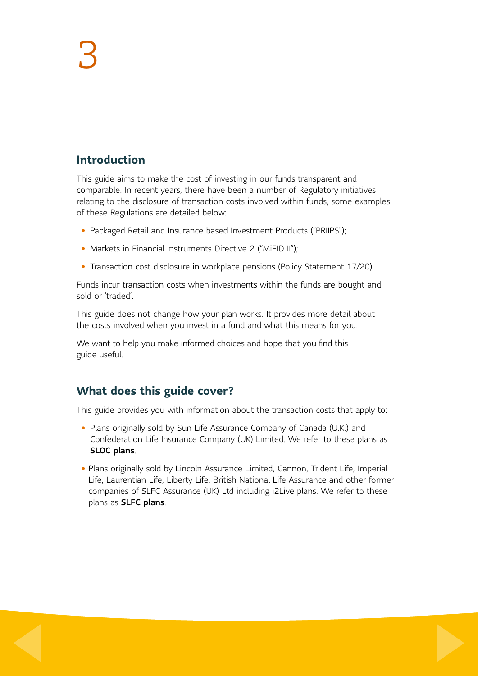# **Introduction**

This guide aims to make the cost of investing in our funds transparent and comparable. In recent years, there have been a number of Regulatory initiatives relating to the disclosure of transaction costs involved within funds, some examples of these Regulations are detailed below:

- Packaged Retail and Insurance based Investment Products ("PRIIPS");
- Markets in Financial Instruments Directive 2 ("MiFID II");
- Transaction cost disclosure in workplace pensions (Policy Statement 17/20).

Funds incur transaction costs when investments within the funds are bought and sold or 'traded'.

This guide does not change how your plan works. It provides more detail about the costs involved when you invest in a fund and what this means for you.

We want to help you make informed choices and hope that you find this guide useful.

# **What does this guide cover?**

This guide provides you with information about the transaction costs that apply to:

- Plans originally sold by Sun Life Assurance Company of Canada (U.K.) and Confederation Life Insurance Company (UK) Limited. We refer to these plans as SLOC plans.
- Plans originally sold by Lincoln Assurance Limited, Cannon, Trident Life, Imperial Life, Laurentian Life, Liberty Life, British National Life Assurance and other former companies of SLFC Assurance (UK) Ltd including i2Live plans. We refer to these plans as SLFC plans.

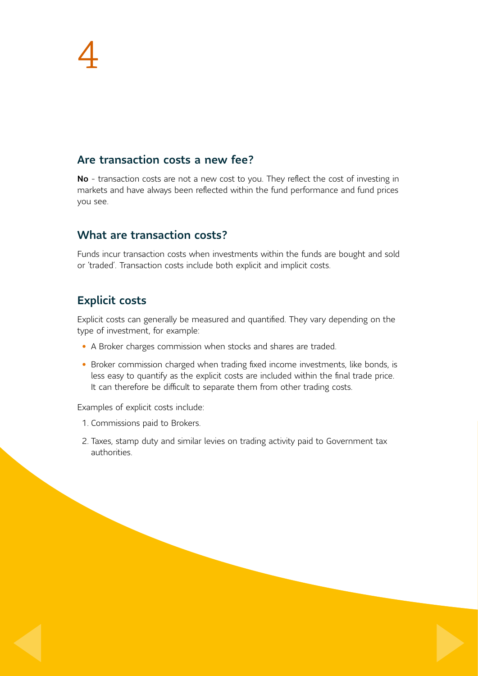#### Are transaction costs a new fee?

No - transaction costs are not a new cost to you. They reflect the cost of investing in markets and have always been reflected within the fund performance and fund prices you see.

#### What are transaction costs?

Funds incur transaction costs when investments within the funds are bought and sold or 'traded'. Transaction costs include both explicit and implicit costs.

# Explicit costs

Explicit costs can generally be measured and quantified. They vary depending on the type of investment, for example:

- A Broker charges commission when stocks and shares are traded.
- Broker commission charged when trading fixed income investments, like bonds, is less easy to quantify as the explicit costs are included within the final trade price. It can therefore be difficult to separate them from other trading costs.

Examples of explicit costs include:

- 1. Commissions paid to Brokers.
- 2. Taxes, stamp duty and similar levies on trading activity paid to Government tax authorities.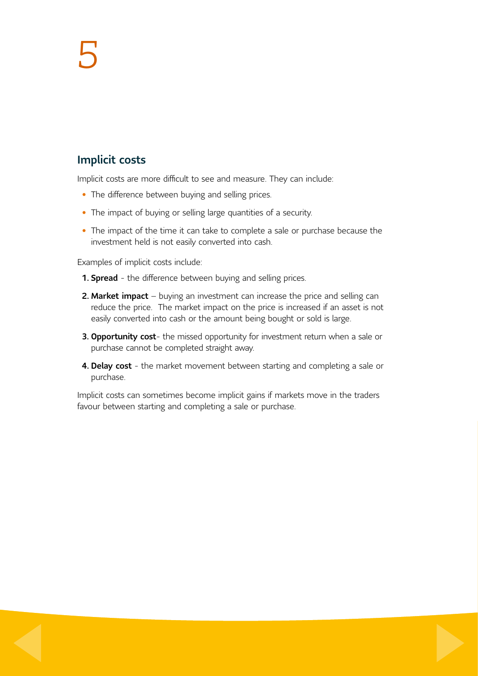# 5

#### Implicit costs

Implicit costs are more difficult to see and measure. They can include:

- The difference between buying and selling prices.
- The impact of buying or selling large quantities of a security.
- The impact of the time it can take to complete a sale or purchase because the investment held is not easily converted into cash.

Examples of implicit costs include:

- **1. Spread** the difference between buying and selling prices.
- 2. Market impact buying an investment can increase the price and selling can reduce the price. The market impact on the price is increased if an asset is not easily converted into cash or the amount being bought or sold is large.
- 3. Opportunity cost- the missed opportunity for investment return when a sale or purchase cannot be completed straight away.
- 4. Delay cost the market movement between starting and completing a sale or purchase.

Implicit costs can sometimes become implicit gains if markets move in the traders favour between starting and completing a sale or purchase.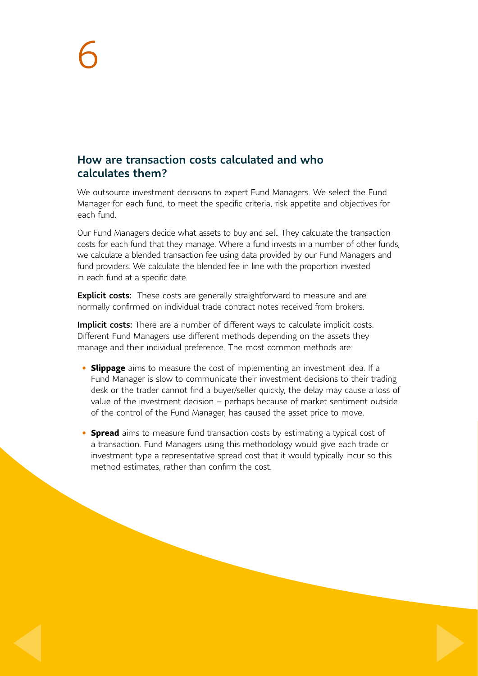#### How are transaction costs calculated and who calculates them?

We outsource investment decisions to expert Fund Managers. We select the Fund Manager for each fund, to meet the specific criteria, risk appetite and objectives for each fund.

Our Fund Managers decide what assets to buy and sell. They calculate the transaction costs for each fund that they manage. Where a fund invests in a number of other funds, we calculate a blended transaction fee using data provided by our Fund Managers and fund providers. We calculate the blended fee in line with the proportion invested in each fund at a specific date.

**Explicit costs:** These costs are generally straightforward to measure and are normally confirmed on individual trade contract notes received from brokers.

Implicit costs: There are a number of different ways to calculate implicit costs. Different Fund Managers use different methods depending on the assets they manage and their individual preference. The most common methods are:

- **Slippage** aims to measure the cost of implementing an investment idea. If a Fund Manager is slow to communicate their investment decisions to their trading desk or the trader cannot find a buyer/seller quickly, the delay may cause a loss of value of the investment decision – perhaps because of market sentiment outside of the control of the Fund Manager, has caused the asset price to move.
- **Spread** aims to measure fund transaction costs by estimating a typical cost of a transaction. Fund Managers using this methodology would give each trade or investment type a representative spread cost that it would typically incur so this method estimates, rather than confirm the cost.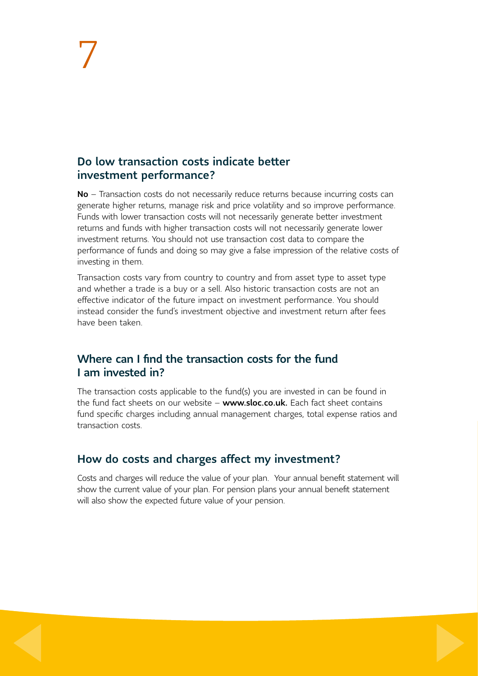#### Do low transaction costs indicate better investment performance?

No – Transaction costs do not necessarily reduce returns because incurring costs can generate higher returns, manage risk and price volatility and so improve performance. Funds with lower transaction costs will not necessarily generate better investment returns and funds with higher transaction costs will not necessarily generate lower investment returns. You should not use transaction cost data to compare the performance of funds and doing so may give a false impression of the relative costs of investing in them.

Transaction costs vary from country to country and from asset type to asset type and whether a trade is a buy or a sell. Also historic transaction costs are not an effective indicator of the future impact on investment performance. You should instead consider the fund's investment objective and investment return after fees have been taken.

#### Where can I find the transaction costs for the fund I am invested in?

The transaction costs applicable to the fund(s) you are invested in can be found in the fund fact sheets on our website – www.sloc.co.uk. Each fact sheet contains fund specific charges including annual management charges, total expense ratios and transaction costs.

# How do costs and charges affect my investment?

Costs and charges will reduce the value of your plan. Your annual benefit statement will show the current value of your plan. For pension plans your annual benefit statement will also show the expected future value of your pension.

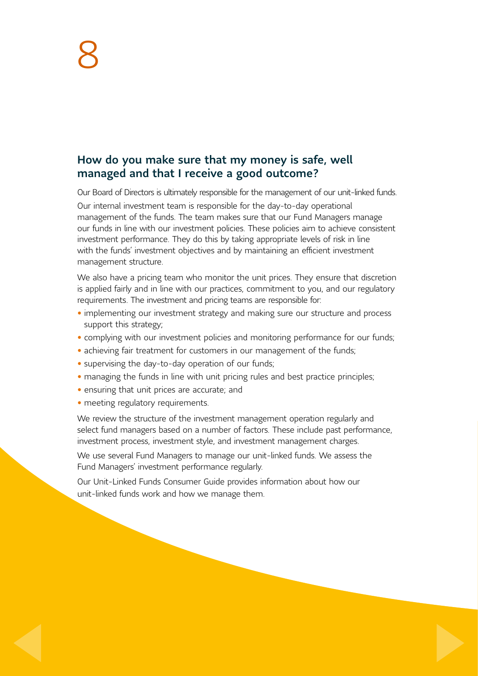#### How do you make sure that my money is safe, well managed and that I receive a good outcome?

Our Board of Directors is ultimately responsible for the management of our unit-linked funds.

Our internal investment team is responsible for the day-to-day operational management of the funds. The team makes sure that our Fund Managers manage our funds in line with our investment policies. These policies aim to achieve consistent investment performance. They do this by taking appropriate levels of risk in line with the funds' investment objectives and by maintaining an efficient investment management structure.

We also have a pricing team who monitor the unit prices. They ensure that discretion is applied fairly and in line with our practices, commitment to you, and our regulatory requirements. The investment and pricing teams are responsible for:

- implementing our investment strategy and making sure our structure and process support this strategy;
- complying with our investment policies and monitoring performance for our funds;
- achieving fair treatment for customers in our management of the funds;
- supervising the day-to-day operation of our funds;
- managing the funds in line with unit pricing rules and best practice principles;
- ensuring that unit prices are accurate; and
- meeting regulatory requirements.

We review the structure of the investment management operation regularly and select fund managers based on a number of factors. These include past performance, investment process, investment style, and investment management charges.

We use several Fund Managers to manage our unit-linked funds. We assess the Fund Managers' investment performance regularly.

Our Unit-Linked Funds Consumer Guide provides information about how our unit-linked funds work and how we manage them.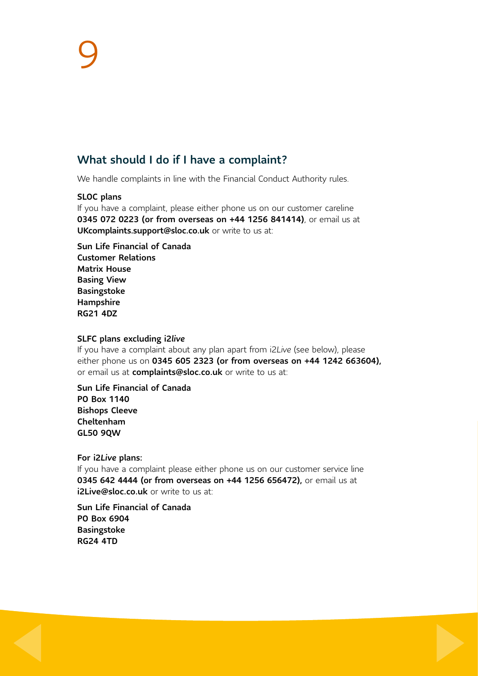#### What should I do if I have a complaint?

We handle complaints in line with the Financial Conduct Authority rules.

#### SLOC plans

If you have a complaint, please either phone us on our customer careline 0345 072 0223 (or from overseas on +44 1256 841414), or email us at UKcomplaints.support@sloc.co.uk or write to us at:

Sun Life Financial of Canada Customer Relations Matrix House Basing View Basingstoke Hampshire RG21 4DZ

#### SLFC plans excluding i2*live*

If you have a complaint about any plan apart from i2*Live* (see below), please either phone us on 0345 605 2323 (or from overseas on +44 1242 663604), or email us at complaints@sloc.co.uk or write to us at:

Sun Life Financial of Canada PO Box 1140 Bishops Cleeve Cheltenham GL50 9QW

#### For i2*Live* plans:

If you have a complaint please either phone us on our customer service line 0345 642 4444 (or from overseas on +44 1256 656472), or email us at i2Live@sloc.co.uk or write to us at:

Sun Life Financial of Canada PO Box 6904 Basingstoke RG24 4TD